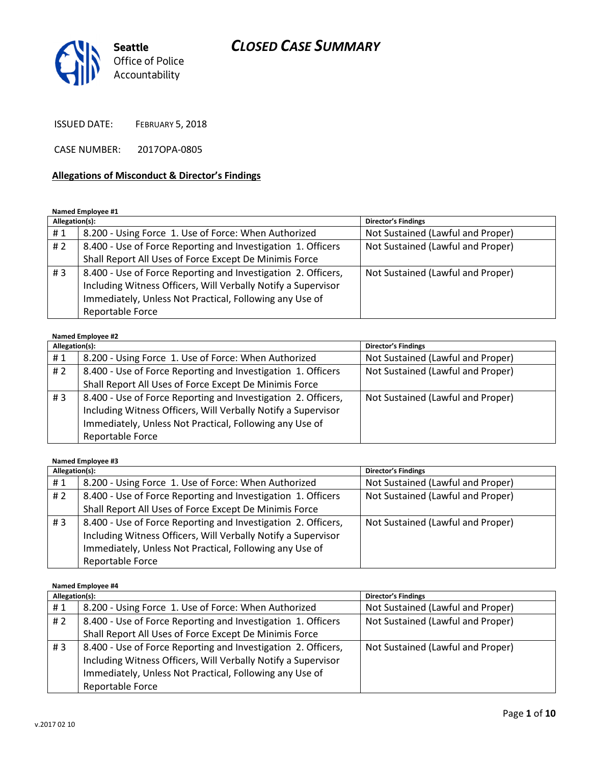

ISSUED DATE: FEBRUARY 5, 2018

CASE NUMBER: 2017OPA-0805

#### Allegations of Misconduct & Director's Findings

#### Named Employee #1

| Allegation(s): |                                                                                                                                                                                                               | <b>Director's Findings</b>        |
|----------------|---------------------------------------------------------------------------------------------------------------------------------------------------------------------------------------------------------------|-----------------------------------|
| #1             | 8.200 - Using Force 1. Use of Force: When Authorized                                                                                                                                                          | Not Sustained (Lawful and Proper) |
| #2             | 8.400 - Use of Force Reporting and Investigation 1. Officers                                                                                                                                                  | Not Sustained (Lawful and Proper) |
|                | Shall Report All Uses of Force Except De Minimis Force                                                                                                                                                        |                                   |
| #3             | 8.400 - Use of Force Reporting and Investigation 2. Officers,<br>Including Witness Officers, Will Verbally Notify a Supervisor<br>Immediately, Unless Not Practical, Following any Use of<br>Reportable Force | Not Sustained (Lawful and Proper) |

#### Named Employee #2

| Allegation(s): |                                                               | <b>Director's Findings</b>        |
|----------------|---------------------------------------------------------------|-----------------------------------|
| #1             | 8.200 - Using Force 1. Use of Force: When Authorized          | Not Sustained (Lawful and Proper) |
| # $2$          | 8.400 - Use of Force Reporting and Investigation 1. Officers  | Not Sustained (Lawful and Proper) |
|                | Shall Report All Uses of Force Except De Minimis Force        |                                   |
| #3             | 8.400 - Use of Force Reporting and Investigation 2. Officers, | Not Sustained (Lawful and Proper) |
|                | Including Witness Officers, Will Verbally Notify a Supervisor |                                   |
|                | Immediately, Unless Not Practical, Following any Use of       |                                   |
|                | Reportable Force                                              |                                   |

Named Employee #3

| Allegation(s): |                                                                                                                                                                                                               | <b>Director's Findings</b>        |
|----------------|---------------------------------------------------------------------------------------------------------------------------------------------------------------------------------------------------------------|-----------------------------------|
| #1             | 8.200 - Using Force 1. Use of Force: When Authorized                                                                                                                                                          | Not Sustained (Lawful and Proper) |
| # 2            | 8.400 - Use of Force Reporting and Investigation 1. Officers                                                                                                                                                  | Not Sustained (Lawful and Proper) |
|                | Shall Report All Uses of Force Except De Minimis Force                                                                                                                                                        |                                   |
| #3             | 8.400 - Use of Force Reporting and Investigation 2. Officers,<br>Including Witness Officers, Will Verbally Notify a Supervisor<br>Immediately, Unless Not Practical, Following any Use of<br>Reportable Force | Not Sustained (Lawful and Proper) |

Named Employee #4

| Allegation(s): |                                                               | <b>Director's Findings</b>        |
|----------------|---------------------------------------------------------------|-----------------------------------|
| #1             | 8.200 - Using Force 1. Use of Force: When Authorized          | Not Sustained (Lawful and Proper) |
| # $2$          | 8.400 - Use of Force Reporting and Investigation 1. Officers  | Not Sustained (Lawful and Proper) |
|                | Shall Report All Uses of Force Except De Minimis Force        |                                   |
| #3             | 8.400 - Use of Force Reporting and Investigation 2. Officers, | Not Sustained (Lawful and Proper) |
|                | Including Witness Officers, Will Verbally Notify a Supervisor |                                   |
|                | Immediately, Unless Not Practical, Following any Use of       |                                   |
|                | Reportable Force                                              |                                   |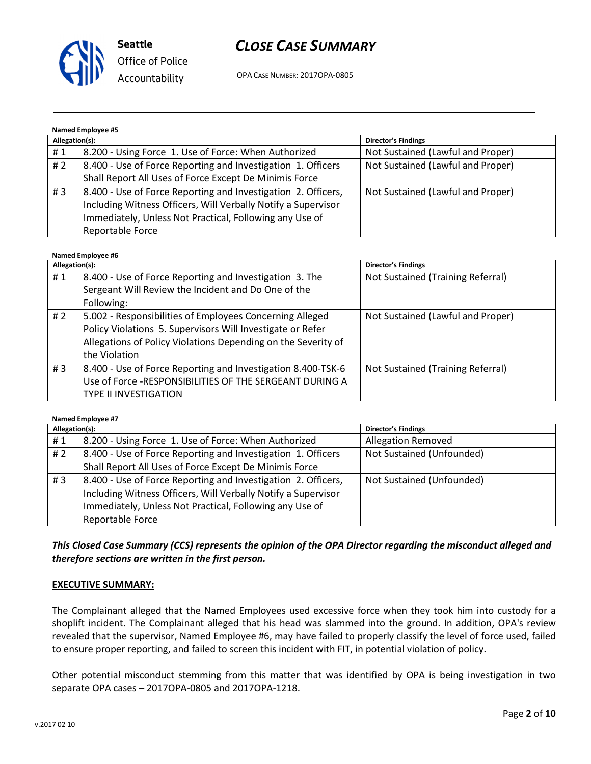

OPA CASE NUMBER: 2017OPA-0805

## Named Employee #5

| Allegation(s): |                                                                                                                                                                                           | <b>Director's Findings</b>        |
|----------------|-------------------------------------------------------------------------------------------------------------------------------------------------------------------------------------------|-----------------------------------|
| #1             | 8.200 - Using Force 1. Use of Force: When Authorized                                                                                                                                      | Not Sustained (Lawful and Proper) |
| #2             | 8.400 - Use of Force Reporting and Investigation 1. Officers                                                                                                                              | Not Sustained (Lawful and Proper) |
|                | Shall Report All Uses of Force Except De Minimis Force                                                                                                                                    |                                   |
| #3             | 8.400 - Use of Force Reporting and Investigation 2. Officers,<br>Including Witness Officers, Will Verbally Notify a Supervisor<br>Immediately, Unless Not Practical, Following any Use of | Not Sustained (Lawful and Proper) |
|                | Reportable Force                                                                                                                                                                          |                                   |

#### Named Employee #6

| Allegation(s): |                                                               | <b>Director's Findings</b>        |
|----------------|---------------------------------------------------------------|-----------------------------------|
| #1             | 8.400 - Use of Force Reporting and Investigation 3. The       | Not Sustained (Training Referral) |
|                | Sergeant Will Review the Incident and Do One of the           |                                   |
|                | Following:                                                    |                                   |
| # 2            | 5.002 - Responsibilities of Employees Concerning Alleged      | Not Sustained (Lawful and Proper) |
|                | Policy Violations 5. Supervisors Will Investigate or Refer    |                                   |
|                | Allegations of Policy Violations Depending on the Severity of |                                   |
|                | the Violation                                                 |                                   |
| #3             | 8.400 - Use of Force Reporting and Investigation 8.400-TSK-6  | Not Sustained (Training Referral) |
|                | Use of Force -RESPONSIBILITIES OF THE SERGEANT DURING A       |                                   |
|                | <b>TYPE II INVESTIGATION</b>                                  |                                   |

Named Employee #7

| Allegation(s): |                                                               | <b>Director's Findings</b> |
|----------------|---------------------------------------------------------------|----------------------------|
| #1             | 8.200 - Using Force 1. Use of Force: When Authorized          | <b>Allegation Removed</b>  |
| #2             | 8.400 - Use of Force Reporting and Investigation 1. Officers  | Not Sustained (Unfounded)  |
|                | Shall Report All Uses of Force Except De Minimis Force        |                            |
| #3             | 8.400 - Use of Force Reporting and Investigation 2. Officers, | Not Sustained (Unfounded)  |
|                | Including Witness Officers, Will Verbally Notify a Supervisor |                            |
|                | Immediately, Unless Not Practical, Following any Use of       |                            |
|                | Reportable Force                                              |                            |

This Closed Case Summary (CCS) represents the opinion of the OPA Director regarding the misconduct alleged and therefore sections are written in the first person.

#### EXECUTIVE SUMMARY:

The Complainant alleged that the Named Employees used excessive force when they took him into custody for a shoplift incident. The Complainant alleged that his head was slammed into the ground. In addition, OPA's review revealed that the supervisor, Named Employee #6, may have failed to properly classify the level of force used, failed to ensure proper reporting, and failed to screen this incident with FIT, in potential violation of policy.

Other potential misconduct stemming from this matter that was identified by OPA is being investigation in two separate OPA cases – 2017OPA-0805 and 2017OPA-1218.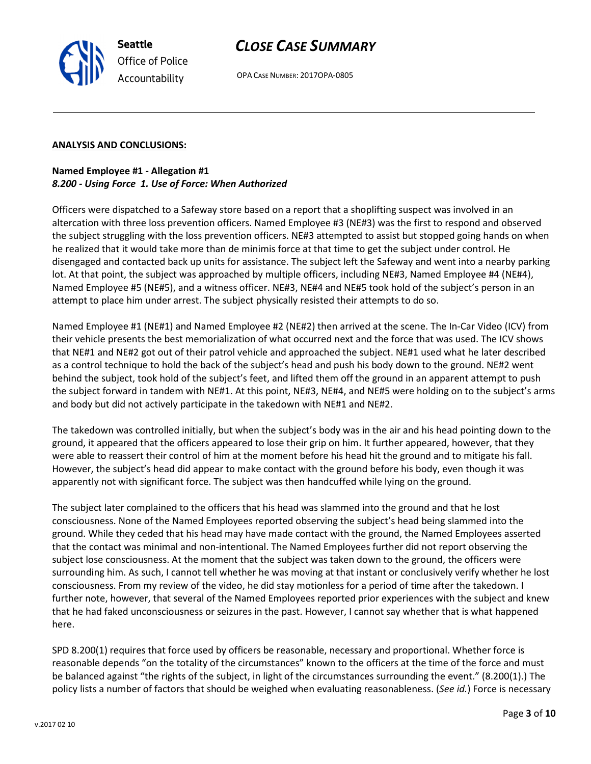# CLOSE CASE SUMMARY

OPA CASE NUMBER: 2017OPA-0805

## ANALYSIS AND CONCLUSIONS:

## Named Employee #1 - Allegation #1 8.200 - Using Force 1. Use of Force: When Authorized

Officers were dispatched to a Safeway store based on a report that a shoplifting suspect was involved in an altercation with three loss prevention officers. Named Employee #3 (NE#3) was the first to respond and observed the subject struggling with the loss prevention officers. NE#3 attempted to assist but stopped going hands on when he realized that it would take more than de minimis force at that time to get the subject under control. He disengaged and contacted back up units for assistance. The subject left the Safeway and went into a nearby parking lot. At that point, the subject was approached by multiple officers, including NE#3, Named Employee #4 (NE#4), Named Employee #5 (NE#5), and a witness officer. NE#3, NE#4 and NE#5 took hold of the subject's person in an attempt to place him under arrest. The subject physically resisted their attempts to do so.

Named Employee #1 (NE#1) and Named Employee #2 (NE#2) then arrived at the scene. The In-Car Video (ICV) from their vehicle presents the best memorialization of what occurred next and the force that was used. The ICV shows that NE#1 and NE#2 got out of their patrol vehicle and approached the subject. NE#1 used what he later described as a control technique to hold the back of the subject's head and push his body down to the ground. NE#2 went behind the subject, took hold of the subject's feet, and lifted them off the ground in an apparent attempt to push the subject forward in tandem with NE#1. At this point, NE#3, NE#4, and NE#5 were holding on to the subject's arms and body but did not actively participate in the takedown with NE#1 and NE#2.

The takedown was controlled initially, but when the subject's body was in the air and his head pointing down to the ground, it appeared that the officers appeared to lose their grip on him. It further appeared, however, that they were able to reassert their control of him at the moment before his head hit the ground and to mitigate his fall. However, the subject's head did appear to make contact with the ground before his body, even though it was apparently not with significant force. The subject was then handcuffed while lying on the ground.

The subject later complained to the officers that his head was slammed into the ground and that he lost consciousness. None of the Named Employees reported observing the subject's head being slammed into the ground. While they ceded that his head may have made contact with the ground, the Named Employees asserted that the contact was minimal and non-intentional. The Named Employees further did not report observing the subject lose consciousness. At the moment that the subject was taken down to the ground, the officers were surrounding him. As such, I cannot tell whether he was moving at that instant or conclusively verify whether he lost consciousness. From my review of the video, he did stay motionless for a period of time after the takedown. I further note, however, that several of the Named Employees reported prior experiences with the subject and knew that he had faked unconsciousness or seizures in the past. However, I cannot say whether that is what happened here.

SPD 8.200(1) requires that force used by officers be reasonable, necessary and proportional. Whether force is reasonable depends "on the totality of the circumstances" known to the officers at the time of the force and must be balanced against "the rights of the subject, in light of the circumstances surrounding the event." (8.200(1).) The policy lists a number of factors that should be weighed when evaluating reasonableness. (See id.) Force is necessary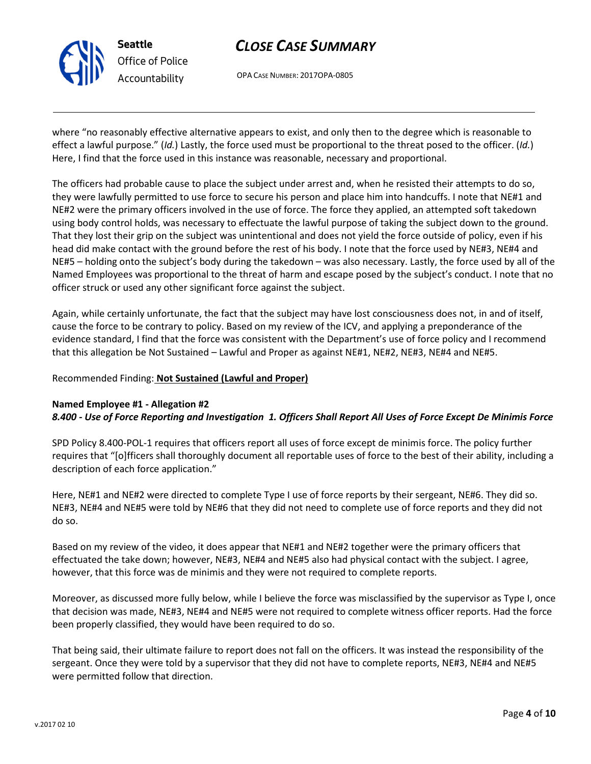

# CLOSE CASE SUMMARY

OPA CASE NUMBER: 2017OPA-0805

where "no reasonably effective alternative appears to exist, and only then to the degree which is reasonable to effect a lawful purpose." (Id.) Lastly, the force used must be proportional to the threat posed to the officer. (Id.) Here, I find that the force used in this instance was reasonable, necessary and proportional.

The officers had probable cause to place the subject under arrest and, when he resisted their attempts to do so, they were lawfully permitted to use force to secure his person and place him into handcuffs. I note that NE#1 and NE#2 were the primary officers involved in the use of force. The force they applied, an attempted soft takedown using body control holds, was necessary to effectuate the lawful purpose of taking the subject down to the ground. That they lost their grip on the subject was unintentional and does not yield the force outside of policy, even if his head did make contact with the ground before the rest of his body. I note that the force used by NE#3, NE#4 and NE#5 – holding onto the subject's body during the takedown – was also necessary. Lastly, the force used by all of the Named Employees was proportional to the threat of harm and escape posed by the subject's conduct. I note that no officer struck or used any other significant force against the subject.

Again, while certainly unfortunate, the fact that the subject may have lost consciousness does not, in and of itself, cause the force to be contrary to policy. Based on my review of the ICV, and applying a preponderance of the evidence standard, I find that the force was consistent with the Department's use of force policy and I recommend that this allegation be Not Sustained – Lawful and Proper as against NE#1, NE#2, NE#3, NE#4 and NE#5.

## Recommended Finding: Not Sustained (Lawful and Proper)

## Named Employee #1 - Allegation #2 8.400 - Use of Force Reporting and Investigation 1. Officers Shall Report All Uses of Force Except De Minimis Force

SPD Policy 8.400-POL-1 requires that officers report all uses of force except de minimis force. The policy further requires that "[o]fficers shall thoroughly document all reportable uses of force to the best of their ability, including a description of each force application."

Here, NE#1 and NE#2 were directed to complete Type I use of force reports by their sergeant, NE#6. They did so. NE#3, NE#4 and NE#5 were told by NE#6 that they did not need to complete use of force reports and they did not do so.

Based on my review of the video, it does appear that NE#1 and NE#2 together were the primary officers that effectuated the take down; however, NE#3, NE#4 and NE#5 also had physical contact with the subject. I agree, however, that this force was de minimis and they were not required to complete reports.

Moreover, as discussed more fully below, while I believe the force was misclassified by the supervisor as Type I, once that decision was made, NE#3, NE#4 and NE#5 were not required to complete witness officer reports. Had the force been properly classified, they would have been required to do so.

That being said, their ultimate failure to report does not fall on the officers. It was instead the responsibility of the sergeant. Once they were told by a supervisor that they did not have to complete reports, NE#3, NE#4 and NE#5 were permitted follow that direction.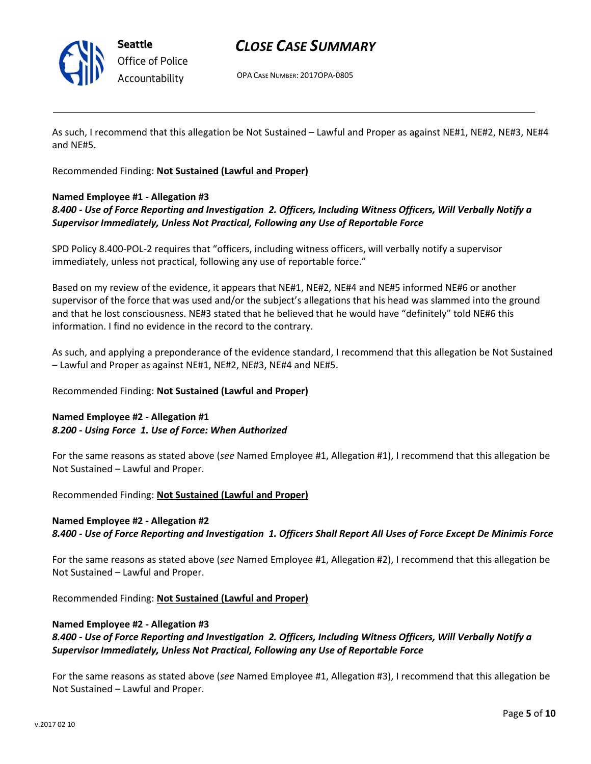

## CLOSE CASE SUMMARY

OPA CASE NUMBER: 2017OPA-0805

As such, I recommend that this allegation be Not Sustained – Lawful and Proper as against NE#1, NE#2, NE#3, NE#4 and NE#5.

Recommended Finding: Not Sustained (Lawful and Proper)

## Named Employee #1 - Allegation #3

## 8.400 - Use of Force Reporting and Investigation 2. Officers, Including Witness Officers, Will Verbally Notify a Supervisor Immediately, Unless Not Practical, Following any Use of Reportable Force

SPD Policy 8.400-POL-2 requires that "officers, including witness officers, will verbally notify a supervisor immediately, unless not practical, following any use of reportable force."

Based on my review of the evidence, it appears that NE#1, NE#2, NE#4 and NE#5 informed NE#6 or another supervisor of the force that was used and/or the subject's allegations that his head was slammed into the ground and that he lost consciousness. NE#3 stated that he believed that he would have "definitely" told NE#6 this information. I find no evidence in the record to the contrary.

As such, and applying a preponderance of the evidence standard, I recommend that this allegation be Not Sustained – Lawful and Proper as against NE#1, NE#2, NE#3, NE#4 and NE#5.

Recommended Finding: Not Sustained (Lawful and Proper)

## Named Employee #2 - Allegation #1 8.200 - Using Force 1. Use of Force: When Authorized

For the same reasons as stated above (see Named Employee #1, Allegation #1), I recommend that this allegation be Not Sustained – Lawful and Proper.

Recommended Finding: Not Sustained (Lawful and Proper)

## Named Employee #2 - Allegation #2

8.400 - Use of Force Reporting and Investigation 1. Officers Shall Report All Uses of Force Except De Minimis Force

For the same reasons as stated above (see Named Employee #1, Allegation #2), I recommend that this allegation be Not Sustained – Lawful and Proper.

Recommended Finding: Not Sustained (Lawful and Proper)

#### Named Employee #2 - Allegation #3

### 8.400 - Use of Force Reporting and Investigation 2. Officers, Including Witness Officers, Will Verbally Notify a Supervisor Immediately, Unless Not Practical, Following any Use of Reportable Force

For the same reasons as stated above (see Named Employee #1, Allegation #3), I recommend that this allegation be Not Sustained – Lawful and Proper.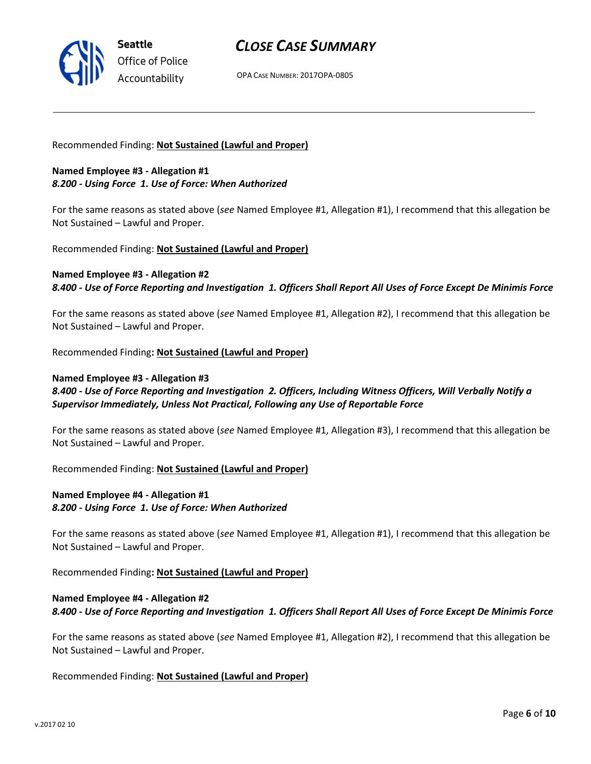

OPA CASE NUMBER: 2017OPA-0805

#### Recommended Finding: Not Sustained (Lawful and Proper)

#### Named Employee #3 - Allegation #1 8.200 - Using Force 1. Use of Force: When Authorized

For the same reasons as stated above (see Named Employee #1, Allegation #1), I recommend that this allegation be Not Sustained – Lawful and Proper.

Recommended Finding: Not Sustained (Lawful and Proper)

#### Named Employee #3 - Allegation #2 8.400 - Use of Force Reporting and Investigation 1. Officers Shall Report All Uses of Force Except De Minimis Force

For the same reasons as stated above (see Named Employee #1, Allegation #2), I recommend that this allegation be Not Sustained – Lawful and Proper.

Recommended Finding: Not Sustained (Lawful and Proper)

#### Named Employee #3 - Allegation #3

8.400 - Use of Force Reporting and Investigation 2. Officers, Including Witness Officers, Will Verbally Notify a Supervisor Immediately, Unless Not Practical, Following any Use of Reportable Force

For the same reasons as stated above (see Named Employee #1, Allegation #3), I recommend that this allegation be Not Sustained – Lawful and Proper.

Recommended Finding: Not Sustained (Lawful and Proper)

### Named Employee #4 - Allegation #1 8.200 - Using Force 1. Use of Force: When Authorized

For the same reasons as stated above (see Named Employee #1, Allegation #1), I recommend that this allegation be Not Sustained – Lawful and Proper.

Recommended Finding: Not Sustained (Lawful and Proper)

## Named Employee #4 - Allegation #2 8.400 - Use of Force Reporting and Investigation 1. Officers Shall Report All Uses of Force Except De Minimis Force

For the same reasons as stated above (see Named Employee #1, Allegation #2), I recommend that this allegation be Not Sustained – Lawful and Proper.

Recommended Finding: Not Sustained (Lawful and Proper)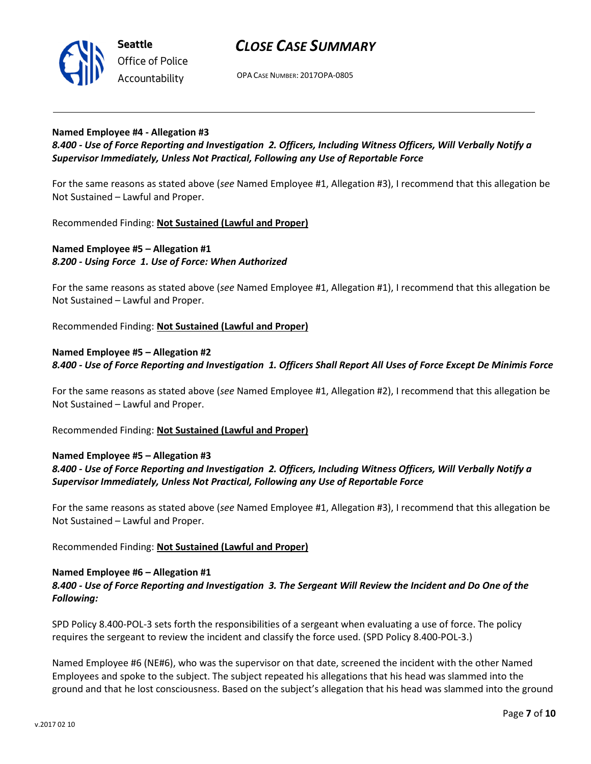

OPA CASE NUMBER: 2017OPA-0805

#### Named Employee #4 - Allegation #3

8.400 - Use of Force Reporting and Investigation 2. Officers, Including Witness Officers, Will Verbally Notify a Supervisor Immediately, Unless Not Practical, Following any Use of Reportable Force

For the same reasons as stated above (see Named Employee #1, Allegation #3), I recommend that this allegation be Not Sustained – Lawful and Proper.

Recommended Finding: Not Sustained (Lawful and Proper)

### Named Employee #5 – Allegation #1 8.200 - Using Force 1. Use of Force: When Authorized

For the same reasons as stated above (see Named Employee #1, Allegation #1), I recommend that this allegation be Not Sustained – Lawful and Proper.

Recommended Finding: Not Sustained (Lawful and Proper)

## Named Employee #5 – Allegation #2 8.400 - Use of Force Reporting and Investigation 1. Officers Shall Report All Uses of Force Except De Minimis Force

For the same reasons as stated above (see Named Employee #1, Allegation #2), I recommend that this allegation be Not Sustained – Lawful and Proper.

Recommended Finding: Not Sustained (Lawful and Proper)

#### Named Employee #5 – Allegation #3

### 8.400 - Use of Force Reporting and Investigation 2. Officers, Including Witness Officers, Will Verbally Notify a Supervisor Immediately, Unless Not Practical, Following any Use of Reportable Force

For the same reasons as stated above (see Named Employee #1, Allegation #3), I recommend that this allegation be Not Sustained – Lawful and Proper.

Recommended Finding: Not Sustained (Lawful and Proper)

#### Named Employee #6 – Allegation #1

### 8.400 - Use of Force Reporting and Investigation 3. The Sergeant Will Review the Incident and Do One of the Following:

SPD Policy 8.400-POL-3 sets forth the responsibilities of a sergeant when evaluating a use of force. The policy requires the sergeant to review the incident and classify the force used. (SPD Policy 8.400-POL-3.)

Named Employee #6 (NE#6), who was the supervisor on that date, screened the incident with the other Named Employees and spoke to the subject. The subject repeated his allegations that his head was slammed into the ground and that he lost consciousness. Based on the subject's allegation that his head was slammed into the ground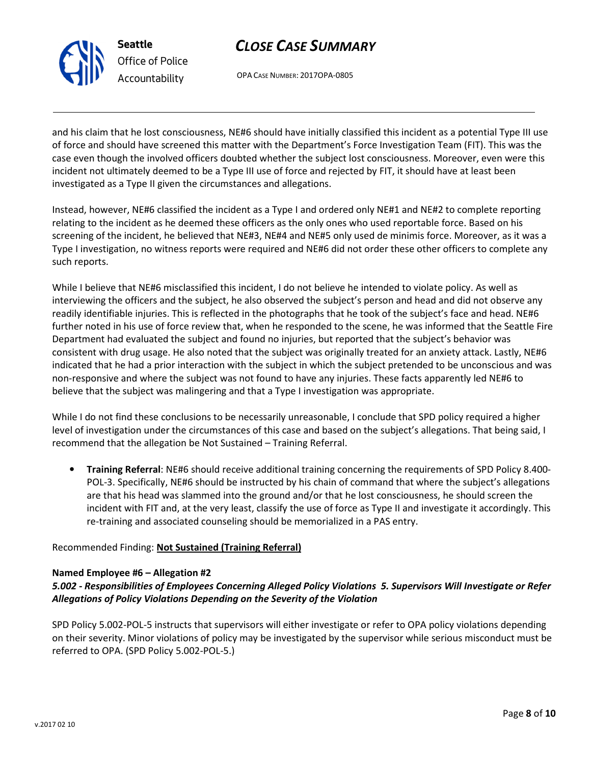

# CLOSE CASE SUMMARY

OPA CASE NUMBER: 2017OPA-0805

and his claim that he lost consciousness, NE#6 should have initially classified this incident as a potential Type III use of force and should have screened this matter with the Department's Force Investigation Team (FIT). This was the case even though the involved officers doubted whether the subject lost consciousness. Moreover, even were this incident not ultimately deemed to be a Type III use of force and rejected by FIT, it should have at least been investigated as a Type II given the circumstances and allegations.

Instead, however, NE#6 classified the incident as a Type I and ordered only NE#1 and NE#2 to complete reporting relating to the incident as he deemed these officers as the only ones who used reportable force. Based on his screening of the incident, he believed that NE#3, NE#4 and NE#5 only used de minimis force. Moreover, as it was a Type I investigation, no witness reports were required and NE#6 did not order these other officers to complete any such reports.

While I believe that NE#6 misclassified this incident, I do not believe he intended to violate policy. As well as interviewing the officers and the subject, he also observed the subject's person and head and did not observe any readily identifiable injuries. This is reflected in the photographs that he took of the subject's face and head. NE#6 further noted in his use of force review that, when he responded to the scene, he was informed that the Seattle Fire Department had evaluated the subject and found no injuries, but reported that the subject's behavior was consistent with drug usage. He also noted that the subject was originally treated for an anxiety attack. Lastly, NE#6 indicated that he had a prior interaction with the subject in which the subject pretended to be unconscious and was non-responsive and where the subject was not found to have any injuries. These facts apparently led NE#6 to believe that the subject was malingering and that a Type I investigation was appropriate.

While I do not find these conclusions to be necessarily unreasonable, I conclude that SPD policy required a higher level of investigation under the circumstances of this case and based on the subject's allegations. That being said, I recommend that the allegation be Not Sustained – Training Referral.

• Training Referral: NE#6 should receive additional training concerning the requirements of SPD Policy 8.400- POL-3. Specifically, NE#6 should be instructed by his chain of command that where the subject's allegations are that his head was slammed into the ground and/or that he lost consciousness, he should screen the incident with FIT and, at the very least, classify the use of force as Type II and investigate it accordingly. This re-training and associated counseling should be memorialized in a PAS entry.

## Recommended Finding: Not Sustained (Training Referral)

## Named Employee #6 – Allegation #2

## 5.002 - Responsibilities of Employees Concerning Alleged Policy Violations 5. Supervisors Will Investigate or Refer Allegations of Policy Violations Depending on the Severity of the Violation

SPD Policy 5.002-POL-5 instructs that supervisors will either investigate or refer to OPA policy violations depending on their severity. Minor violations of policy may be investigated by the supervisor while serious misconduct must be referred to OPA. (SPD Policy 5.002-POL-5.)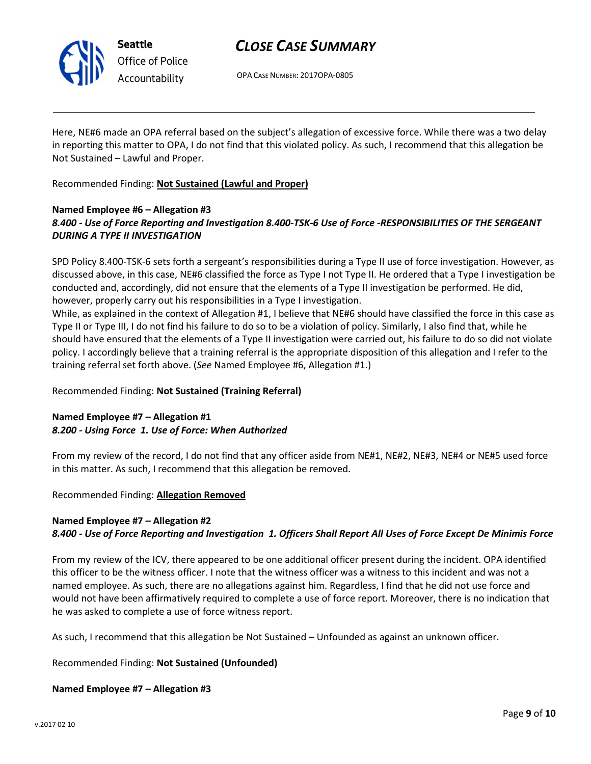

## CLOSE CASE SUMMARY

OPA CASE NUMBER: 2017OPA-0805

Here, NE#6 made an OPA referral based on the subject's allegation of excessive force. While there was a two delay in reporting this matter to OPA, I do not find that this violated policy. As such, I recommend that this allegation be Not Sustained – Lawful and Proper.

Recommended Finding: Not Sustained (Lawful and Proper)

## Named Employee #6 – Allegation #3 8.400 - Use of Force Reporting and Investigation 8.400-TSK-6 Use of Force -RESPONSIBILITIES OF THE SERGEANT DURING A TYPE II INVESTIGATION

SPD Policy 8.400-TSK-6 sets forth a sergeant's responsibilities during a Type II use of force investigation. However, as discussed above, in this case, NE#6 classified the force as Type I not Type II. He ordered that a Type I investigation be conducted and, accordingly, did not ensure that the elements of a Type II investigation be performed. He did, however, properly carry out his responsibilities in a Type I investigation.

While, as explained in the context of Allegation #1, I believe that NE#6 should have classified the force in this case as Type II or Type III, I do not find his failure to do so to be a violation of policy. Similarly, I also find that, while he should have ensured that the elements of a Type II investigation were carried out, his failure to do so did not violate policy. I accordingly believe that a training referral is the appropriate disposition of this allegation and I refer to the training referral set forth above. (See Named Employee #6, Allegation #1.)

Recommended Finding: Not Sustained (Training Referral)

## Named Employee #7 – Allegation #1 8.200 - Using Force 1. Use of Force: When Authorized

From my review of the record, I do not find that any officer aside from NE#1, NE#2, NE#3, NE#4 or NE#5 used force in this matter. As such, I recommend that this allegation be removed.

Recommended Finding: Allegation Removed

## Named Employee #7 – Allegation #2 8.400 - Use of Force Reporting and Investigation 1. Officers Shall Report All Uses of Force Except De Minimis Force

From my review of the ICV, there appeared to be one additional officer present during the incident. OPA identified this officer to be the witness officer. I note that the witness officer was a witness to this incident and was not a named employee. As such, there are no allegations against him. Regardless, I find that he did not use force and would not have been affirmatively required to complete a use of force report. Moreover, there is no indication that he was asked to complete a use of force witness report.

As such, I recommend that this allegation be Not Sustained – Unfounded as against an unknown officer.

Recommended Finding: Not Sustained (Unfounded)

Named Employee #7 – Allegation #3